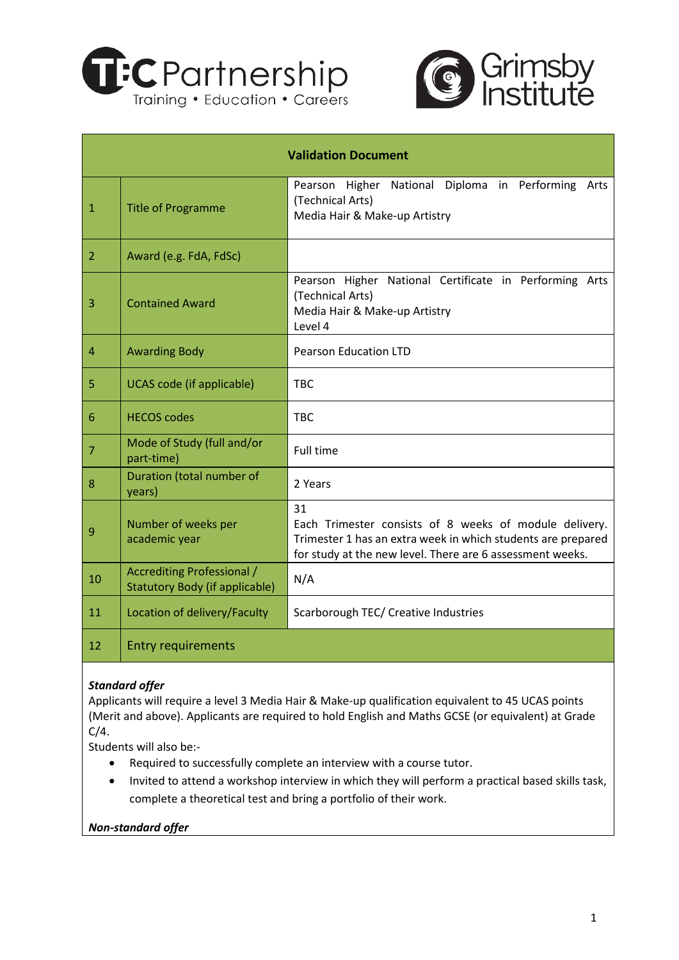



| <b>Validation Document</b> |                                                                                                                                    |                                                                                                                                                                                           |  |  |  |  |  |  |  |  |  |  |  |
|----------------------------|------------------------------------------------------------------------------------------------------------------------------------|-------------------------------------------------------------------------------------------------------------------------------------------------------------------------------------------|--|--|--|--|--|--|--|--|--|--|--|
| $\mathbf{1}$               | Diploma in Performing<br>Pearson Higher National<br>(Technical Arts)<br><b>Title of Programme</b><br>Media Hair & Make-up Artistry |                                                                                                                                                                                           |  |  |  |  |  |  |  |  |  |  |  |
| 2                          | Award (e.g. FdA, FdSc)                                                                                                             |                                                                                                                                                                                           |  |  |  |  |  |  |  |  |  |  |  |
| 3                          | <b>Contained Award</b>                                                                                                             | Pearson Higher National Certificate in Performing Arts<br>(Technical Arts)<br>Media Hair & Make-up Artistry<br>Level 4                                                                    |  |  |  |  |  |  |  |  |  |  |  |
| $\overline{4}$             | <b>Pearson Education LTD</b><br><b>Awarding Body</b>                                                                               |                                                                                                                                                                                           |  |  |  |  |  |  |  |  |  |  |  |
| 5                          | <b>UCAS code (if applicable)</b><br><b>TBC</b>                                                                                     |                                                                                                                                                                                           |  |  |  |  |  |  |  |  |  |  |  |
| $6\phantom{1}6$            | <b>HECOS codes</b>                                                                                                                 | <b>TBC</b>                                                                                                                                                                                |  |  |  |  |  |  |  |  |  |  |  |
| $\overline{7}$             | Mode of Study (full and/or<br>part-time)                                                                                           | <b>Full time</b>                                                                                                                                                                          |  |  |  |  |  |  |  |  |  |  |  |
| 8                          | Duration (total number of<br>years)                                                                                                | 2 Years                                                                                                                                                                                   |  |  |  |  |  |  |  |  |  |  |  |
| 9                          | Number of weeks per<br>academic year                                                                                               | 31<br>Each Trimester consists of 8 weeks of module delivery.<br>Trimester 1 has an extra week in which students are prepared<br>for study at the new level. There are 6 assessment weeks. |  |  |  |  |  |  |  |  |  |  |  |
| 10                         | Accrediting Professional /<br>Statutory Body (if applicable)                                                                       | N/A                                                                                                                                                                                       |  |  |  |  |  |  |  |  |  |  |  |
| 11                         | Location of delivery/Faculty                                                                                                       | Scarborough TEC/ Creative Industries                                                                                                                                                      |  |  |  |  |  |  |  |  |  |  |  |
| 12                         | <b>Entry requirements</b>                                                                                                          |                                                                                                                                                                                           |  |  |  |  |  |  |  |  |  |  |  |

# *Standard offer*

Applicants will require a level 3 Media Hair & Make-up qualification equivalent to 45 UCAS points (Merit and above). Applicants are required to hold English and Maths GCSE (or equivalent) at Grade  $C/4$ .

Students will also be:-

- Required to successfully complete an interview with a course tutor.
- Invited to attend a workshop interview in which they will perform a practical based skills task, complete a theoretical test and bring a portfolio of their work.

*Non-standard offer*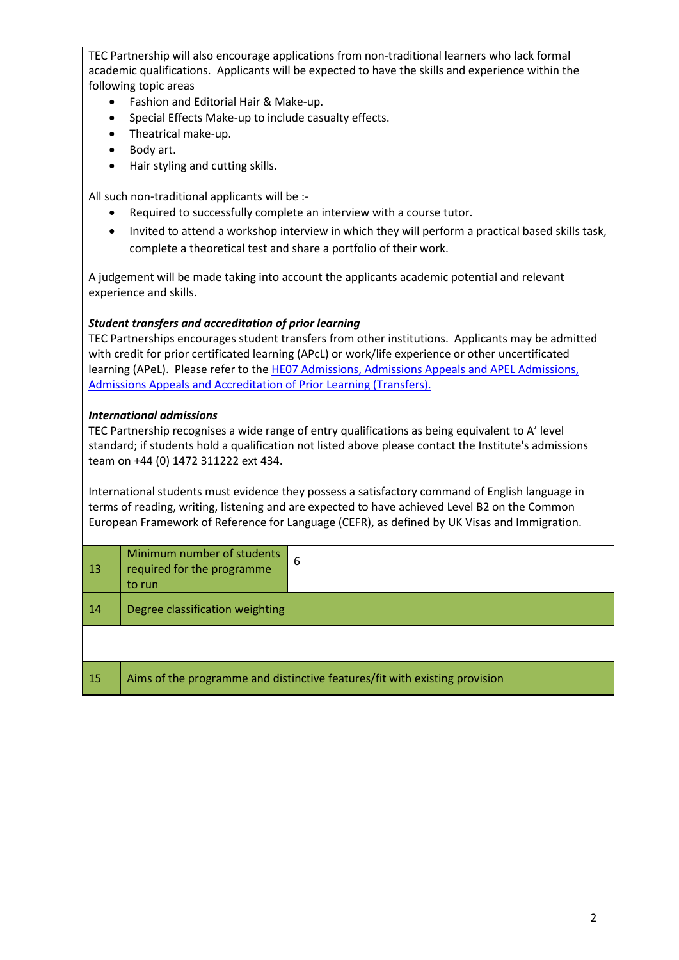TEC Partnership will also encourage applications from non-traditional learners who lack formal academic qualifications. Applicants will be expected to have the skills and experience within the following topic areas

- Fashion and Editorial Hair & Make-up.
- Special Effects Make-up to include casualty effects.
- Theatrical make-up.
- Body art.
- Hair styling and cutting skills.

All such non-traditional applicants will be :-

- Required to successfully complete an interview with a course tutor.
- Invited to attend a workshop interview in which they will perform a practical based skills task, complete a theoretical test and share a portfolio of their work.

A judgement will be made taking into account the applicants academic potential and relevant experience and skills.

# *Student transfers and accreditation of prior learning*

TEC Partnerships encourages student transfers from other institutions. Applicants may be admitted with credit for prior certificated learning (APcL) or work/life experience or other uncertificated learning (APeL). Please refer to the [HE07 Admissions, Admissions Appeals and APEL Admissions,](https://grimsby.ac.uk/quality-and-standards-handbook-home/#1562312947221-2f62a707-a78f)  [Admissions Appeals and Accreditation of Prior Learning \(Transfers\).](https://grimsby.ac.uk/quality-and-standards-handbook-home/#1562312947221-2f62a707-a78f)

## *International admissions*

TEC Partnership recognises a wide range of entry qualifications as being equivalent to A' level standard; if students hold a qualification not listed above please contact the Institute's admissions team on +44 (0) 1472 311222 ext 434.

International students must evidence they possess a satisfactory command of English language in terms of reading, writing, listening and are expected to have achieved Level B2 on the Common European Framework of Reference for Language (CEFR), as defined by UK Visas and Immigration.

| 13 | Minimum number of students<br>required for the programme<br>to run         | 6 |  |  |  |  |
|----|----------------------------------------------------------------------------|---|--|--|--|--|
| 14 | Degree classification weighting                                            |   |  |  |  |  |
|    |                                                                            |   |  |  |  |  |
| 15 | Aims of the programme and distinctive features/fit with existing provision |   |  |  |  |  |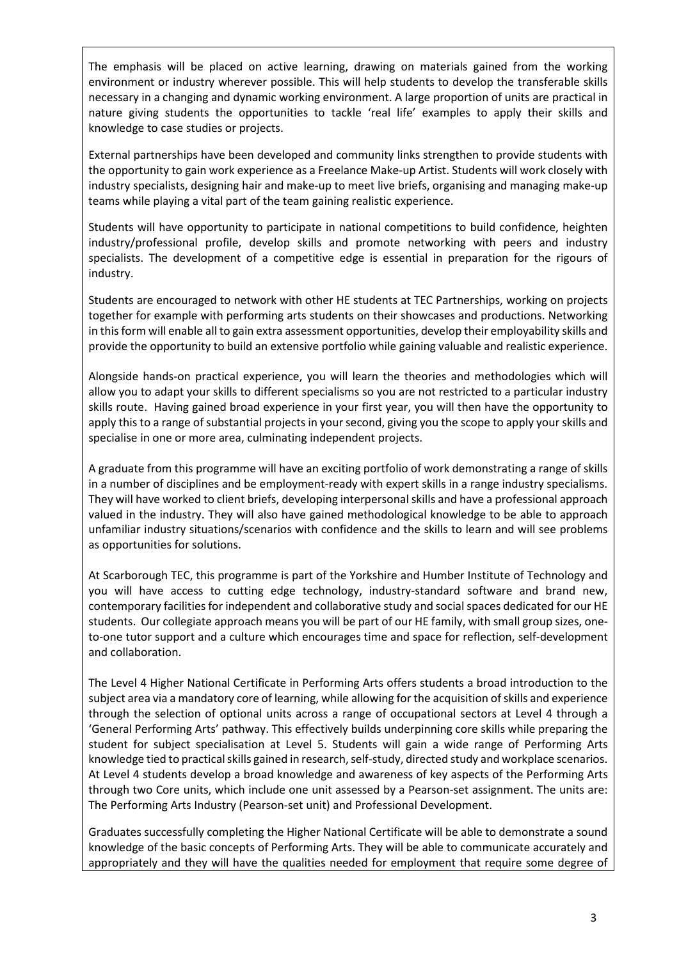The emphasis will be placed on active learning, drawing on materials gained from the working environment or industry wherever possible. This will help students to develop the transferable skills necessary in a changing and dynamic working environment. A large proportion of units are practical in nature giving students the opportunities to tackle 'real life' examples to apply their skills and knowledge to case studies or projects.

External partnerships have been developed and community links strengthen to provide students with the opportunity to gain work experience as a Freelance Make-up Artist. Students will work closely with industry specialists, designing hair and make-up to meet live briefs, organising and managing make-up teams while playing a vital part of the team gaining realistic experience.

Students will have opportunity to participate in national competitions to build confidence, heighten industry/professional profile, develop skills and promote networking with peers and industry specialists. The development of a competitive edge is essential in preparation for the rigours of industry.

Students are encouraged to network with other HE students at TEC Partnerships, working on projects together for example with performing arts students on their showcases and productions. Networking in this form will enable all to gain extra assessment opportunities, develop their employability skills and provide the opportunity to build an extensive portfolio while gaining valuable and realistic experience.

Alongside hands-on practical experience, you will learn the theories and methodologies which will allow you to adapt your skills to different specialisms so you are not restricted to a particular industry skills route. Having gained broad experience in your first year, you will then have the opportunity to apply this to a range of substantial projects in your second, giving you the scope to apply your skills and specialise in one or more area, culminating independent projects.

A graduate from this programme will have an exciting portfolio of work demonstrating a range of skills in a number of disciplines and be employment-ready with expert skills in a range industry specialisms. They will have worked to client briefs, developing interpersonal skills and have a professional approach valued in the industry. They will also have gained methodological knowledge to be able to approach unfamiliar industry situations/scenarios with confidence and the skills to learn and will see problems as opportunities for solutions.

At Scarborough TEC, this programme is part of the Yorkshire and Humber Institute of Technology and you will have access to cutting edge technology, industry-standard software and brand new, contemporary facilities for independent and collaborative study and social spaces dedicated for our HE students. Our collegiate approach means you will be part of our HE family, with small group sizes, oneto-one tutor support and a culture which encourages time and space for reflection, self-development and collaboration.

The Level 4 Higher National Certificate in Performing Arts offers students a broad introduction to the subject area via a mandatory core of learning, while allowing for the acquisition of skills and experience through the selection of optional units across a range of occupational sectors at Level 4 through a 'General Performing Arts' pathway. This effectively builds underpinning core skills while preparing the student for subject specialisation at Level 5. Students will gain a wide range of Performing Arts knowledge tied to practical skills gained in research, self-study, directed study and workplace scenarios. At Level 4 students develop a broad knowledge and awareness of key aspects of the Performing Arts through two Core units, which include one unit assessed by a Pearson-set assignment. The units are: The Performing Arts Industry (Pearson-set unit) and Professional Development.

Graduates successfully completing the Higher National Certificate will be able to demonstrate a sound knowledge of the basic concepts of Performing Arts. They will be able to communicate accurately and appropriately and they will have the qualities needed for employment that require some degree of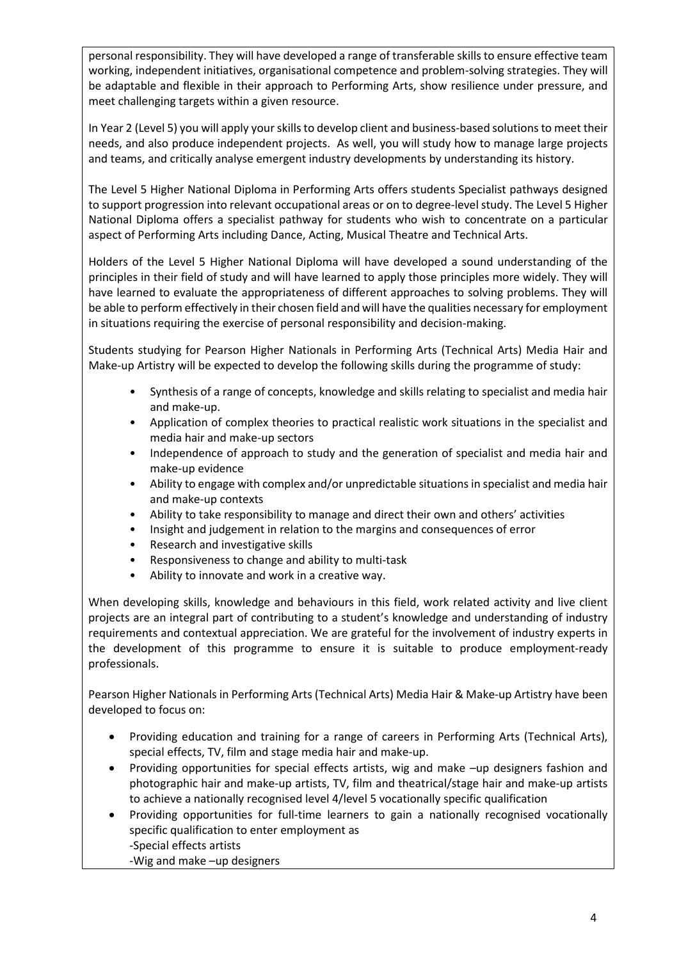personal responsibility. They will have developed a range of transferable skills to ensure effective team working, independent initiatives, organisational competence and problem-solving strategies. They will be adaptable and flexible in their approach to Performing Arts, show resilience under pressure, and meet challenging targets within a given resource.

In Year 2 (Level 5) you will apply your skills to develop client and business-based solutions to meet their needs, and also produce independent projects. As well, you will study how to manage large projects and teams, and critically analyse emergent industry developments by understanding its history.

The Level 5 Higher National Diploma in Performing Arts offers students Specialist pathways designed to support progression into relevant occupational areas or on to degree-level study. The Level 5 Higher National Diploma offers a specialist pathway for students who wish to concentrate on a particular aspect of Performing Arts including Dance, Acting, Musical Theatre and Technical Arts.

Holders of the Level 5 Higher National Diploma will have developed a sound understanding of the principles in their field of study and will have learned to apply those principles more widely. They will have learned to evaluate the appropriateness of different approaches to solving problems. They will be able to perform effectively in their chosen field and will have the qualities necessary for employment in situations requiring the exercise of personal responsibility and decision-making.

Students studying for Pearson Higher Nationals in Performing Arts (Technical Arts) Media Hair and Make-up Artistry will be expected to develop the following skills during the programme of study:

- Synthesis of a range of concepts, knowledge and skills relating to specialist and media hair and make-up.
- Application of complex theories to practical realistic work situations in the specialist and media hair and make-up sectors
- Independence of approach to study and the generation of specialist and media hair and make-up evidence
- Ability to engage with complex and/or unpredictable situations in specialist and media hair and make-up contexts
- Ability to take responsibility to manage and direct their own and others' activities
- Insight and judgement in relation to the margins and consequences of error
- Research and investigative skills
- Responsiveness to change and ability to multi-task
- Ability to innovate and work in a creative way.

When developing skills, knowledge and behaviours in this field, work related activity and live client projects are an integral part of contributing to a student's knowledge and understanding of industry requirements and contextual appreciation. We are grateful for the involvement of industry experts in the development of this programme to ensure it is suitable to produce employment-ready professionals.

Pearson Higher Nationals in Performing Arts (Technical Arts) Media Hair & Make-up Artistry have been developed to focus on:

- Providing education and training for a range of careers in Performing Arts (Technical Arts), special effects, TV, film and stage media hair and make-up.
- Providing opportunities for special effects artists, wig and make –up designers fashion and photographic hair and make-up artists, TV, film and theatrical/stage hair and make-up artists to achieve a nationally recognised level 4/level 5 vocationally specific qualification
- Providing opportunities for full-time learners to gain a nationally recognised vocationally specific qualification to enter employment as -Special effects artists

-Wig and make –up designers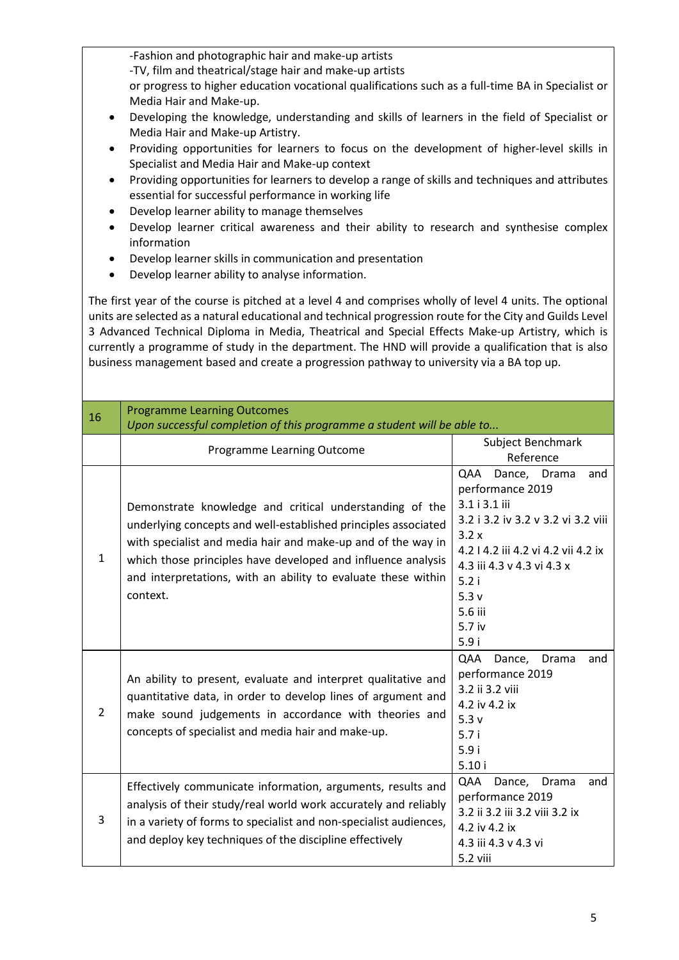| -Fashion and photographic hair and make-up artists<br>-TV, film and theatrical/stage hair and make-up artists<br>or progress to higher education vocational qualifications such as a full-time BA in Specialist or<br>Media Hair and Make-up.<br>Developing the knowledge, understanding and skills of learners in the field of Specialist or<br>$\bullet$<br>Media Hair and Make-up Artistry.<br>Providing opportunities for learners to focus on the development of higher-level skills in<br>٠<br>Specialist and Media Hair and Make-up context<br>Providing opportunities for learners to develop a range of skills and techniques and attributes<br>$\bullet$<br>essential for successful performance in working life<br>Develop learner ability to manage themselves<br>$\bullet$<br>Develop learner critical awareness and their ability to research and synthesise complex<br>$\bullet$<br>information<br>Develop learner skills in communication and presentation<br>$\bullet$<br>Develop learner ability to analyse information.<br>$\bullet$ |                                                                                                                                                                                                                                                                                                                                        |                                                                                                                                                                                                                                  |  |  |  |  |  |  |  |  |
|---------------------------------------------------------------------------------------------------------------------------------------------------------------------------------------------------------------------------------------------------------------------------------------------------------------------------------------------------------------------------------------------------------------------------------------------------------------------------------------------------------------------------------------------------------------------------------------------------------------------------------------------------------------------------------------------------------------------------------------------------------------------------------------------------------------------------------------------------------------------------------------------------------------------------------------------------------------------------------------------------------------------------------------------------------|----------------------------------------------------------------------------------------------------------------------------------------------------------------------------------------------------------------------------------------------------------------------------------------------------------------------------------------|----------------------------------------------------------------------------------------------------------------------------------------------------------------------------------------------------------------------------------|--|--|--|--|--|--|--|--|
| The first year of the course is pitched at a level 4 and comprises wholly of level 4 units. The optional<br>units are selected as a natural educational and technical progression route for the City and Guilds Level<br>3 Advanced Technical Diploma in Media, Theatrical and Special Effects Make-up Artistry, which is<br>currently a programme of study in the department. The HND will provide a qualification that is also<br>business management based and create a progression pathway to university via a BA top up.                                                                                                                                                                                                                                                                                                                                                                                                                                                                                                                           |                                                                                                                                                                                                                                                                                                                                        |                                                                                                                                                                                                                                  |  |  |  |  |  |  |  |  |
| 16                                                                                                                                                                                                                                                                                                                                                                                                                                                                                                                                                                                                                                                                                                                                                                                                                                                                                                                                                                                                                                                      | <b>Programme Learning Outcomes</b><br>Upon successful completion of this programme a student will be able to                                                                                                                                                                                                                           |                                                                                                                                                                                                                                  |  |  |  |  |  |  |  |  |
|                                                                                                                                                                                                                                                                                                                                                                                                                                                                                                                                                                                                                                                                                                                                                                                                                                                                                                                                                                                                                                                         | Programme Learning Outcome                                                                                                                                                                                                                                                                                                             | Subject Benchmark<br>Reference                                                                                                                                                                                                   |  |  |  |  |  |  |  |  |
| 1                                                                                                                                                                                                                                                                                                                                                                                                                                                                                                                                                                                                                                                                                                                                                                                                                                                                                                                                                                                                                                                       | Demonstrate knowledge and critical understanding of the<br>underlying concepts and well-established principles associated<br>with specialist and media hair and make-up and of the way in<br>which those principles have developed and influence analysis<br>and interpretations, with an ability to evaluate these within<br>context. | Dance, Drama<br>QAA<br>and<br>performance 2019<br>3.1 i 3.1 iii<br>3.2 i 3.2 iv 3.2 v 3.2 vi 3.2 viii<br>3.2x<br>4.2   4.2 iii 4.2 vi 4.2 vii 4.2 ix<br>4.3 iii 4.3 v 4.3 vi 4.3 x<br>5.2i<br>5.3v<br>5.6 iii<br>5.7 iv<br>5.9 i |  |  |  |  |  |  |  |  |
| 2                                                                                                                                                                                                                                                                                                                                                                                                                                                                                                                                                                                                                                                                                                                                                                                                                                                                                                                                                                                                                                                       | An ability to present, evaluate and interpret qualitative and<br>quantitative data, in order to develop lines of argument and<br>make sound judgements in accordance with theories and<br>concepts of specialist and media hair and make-up.                                                                                           | QAA<br>Dance,<br>Drama<br>and<br>performance 2019<br>3.2 ii 3.2 viii<br>4.2 iv 4.2 ix<br>5.3v<br>5.7i<br>5.9i<br>5.10i                                                                                                           |  |  |  |  |  |  |  |  |
| 3                                                                                                                                                                                                                                                                                                                                                                                                                                                                                                                                                                                                                                                                                                                                                                                                                                                                                                                                                                                                                                                       | Effectively communicate information, arguments, results and<br>analysis of their study/real world work accurately and reliably<br>in a variety of forms to specialist and non-specialist audiences,<br>and deploy key techniques of the discipline effectively                                                                         | QAA<br>Dance,<br>Drama<br>and<br>performance 2019<br>3.2 ii 3.2 iii 3.2 viii 3.2 ix<br>4.2 iv 4.2 ix<br>4.3 iii 4.3 v 4.3 vi<br>5.2 viii                                                                                         |  |  |  |  |  |  |  |  |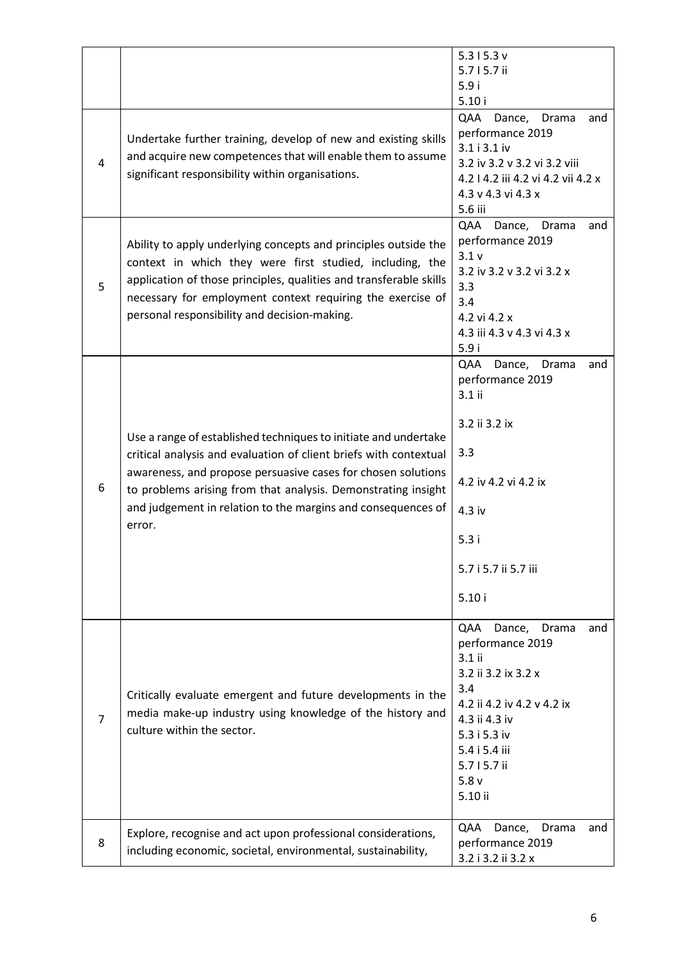|   |                                                                                                                                                                                                                                                                                                                                                 | 5.315.3v<br>5.715.7 ii                                                                                                                                                                                    |
|---|-------------------------------------------------------------------------------------------------------------------------------------------------------------------------------------------------------------------------------------------------------------------------------------------------------------------------------------------------|-----------------------------------------------------------------------------------------------------------------------------------------------------------------------------------------------------------|
|   |                                                                                                                                                                                                                                                                                                                                                 | 5.9i                                                                                                                                                                                                      |
|   |                                                                                                                                                                                                                                                                                                                                                 | 5.10i<br>QAA<br>Drama<br>Dance,<br>and                                                                                                                                                                    |
| 4 | Undertake further training, develop of new and existing skills<br>and acquire new competences that will enable them to assume<br>significant responsibility within organisations.                                                                                                                                                               | performance 2019<br>3.1 i 3.1 iv<br>3.2 iv 3.2 v 3.2 vi 3.2 viii<br>4.2   4.2 iii 4.2 vi 4.2 vii 4.2 x<br>4.3 v 4.3 vi 4.3 x<br>5.6 iii                                                                   |
| 5 | Ability to apply underlying concepts and principles outside the<br>context in which they were first studied, including, the<br>application of those principles, qualities and transferable skills<br>necessary for employment context requiring the exercise of<br>personal responsibility and decision-making.                                 | QAA<br>Drama<br>Dance,<br>and<br>performance 2019<br>3.1v<br>3.2 iv 3.2 v 3.2 vi 3.2 x<br>3.3<br>3.4<br>4.2 vi 4.2 x<br>4.3 iii 4.3 v 4.3 vi 4.3 x<br>5.9i                                                |
| 6 | Use a range of established techniques to initiate and undertake<br>critical analysis and evaluation of client briefs with contextual<br>awareness, and propose persuasive cases for chosen solutions<br>to problems arising from that analysis. Demonstrating insight<br>and judgement in relation to the margins and consequences of<br>error. | QAA Dance,<br>and<br>Drama<br>performance 2019<br>3.1 ii<br>3.2 ii 3.2 ix<br>3.3<br>4.2 iv 4.2 vi 4.2 ix<br>4.3 iv<br>5.3i<br>5.7 i 5.7 ii 5.7 iii<br>5.10i                                               |
| 7 | Critically evaluate emergent and future developments in the<br>media make-up industry using knowledge of the history and<br>culture within the sector.                                                                                                                                                                                          | QAA<br>Dance,<br>Drama<br>and<br>performance 2019<br>3.1 ii<br>3.2 ii 3.2 ix 3.2 x<br>3.4<br>4.2 ii 4.2 iv 4.2 v 4.2 ix<br>4.3 ii 4.3 iv<br>5.3 i 5.3 iv<br>5.4 i 5.4 iii<br>5.715.7ii<br>5.8v<br>5.10 ii |
| 8 | Explore, recognise and act upon professional considerations,<br>including economic, societal, environmental, sustainability,                                                                                                                                                                                                                    | QAA<br>Dance,<br>Drama<br>and<br>performance 2019<br>3.2 i 3.2 ii 3.2 x                                                                                                                                   |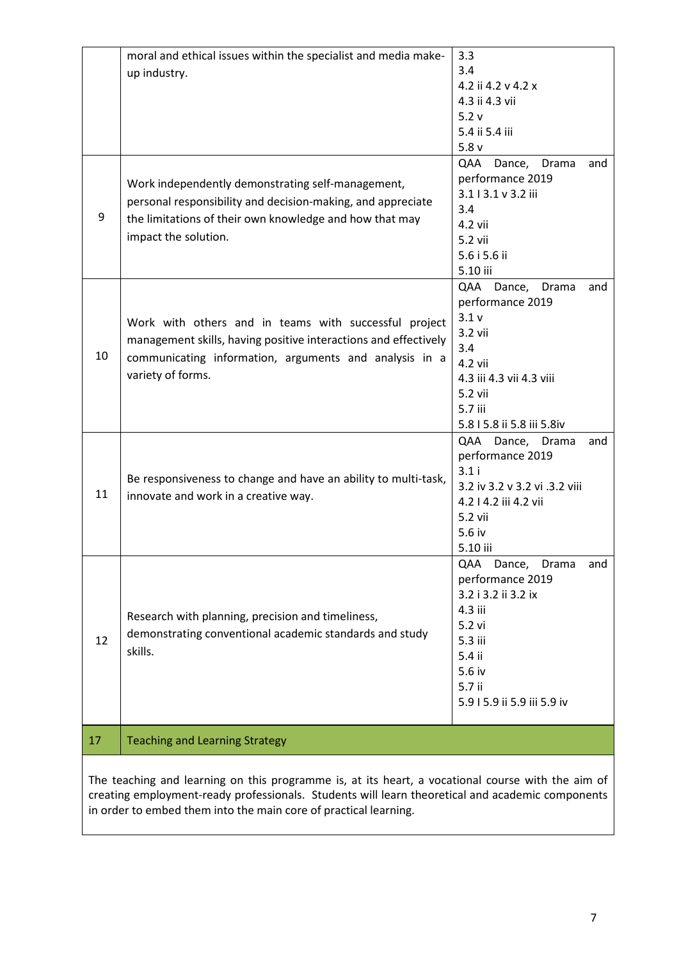|    | moral and ethical issues within the specialist and media make-  | 3.3                                                                                               |
|----|-----------------------------------------------------------------|---------------------------------------------------------------------------------------------------|
|    | up industry.                                                    | 3.4                                                                                               |
|    |                                                                 | 4.2 ii 4.2 v 4.2 x                                                                                |
|    |                                                                 | 4.3 ii 4.3 vii                                                                                    |
|    |                                                                 | 5.2v                                                                                              |
|    |                                                                 | 5.4 ii 5.4 iii                                                                                    |
|    |                                                                 | 5.8v                                                                                              |
|    |                                                                 | QAA Dance,<br>Drama<br>and                                                                        |
|    |                                                                 | performance 2019                                                                                  |
|    | Work independently demonstrating self-management,               |                                                                                                   |
|    | personal responsibility and decision-making, and appreciate     | 3.113.1 v 3.2 iii                                                                                 |
| 9  | the limitations of their own knowledge and how that may         | 3.4                                                                                               |
|    |                                                                 | 4.2 vii                                                                                           |
|    | impact the solution.                                            | 5.2 vii                                                                                           |
|    |                                                                 | 5.6 i 5.6 ii                                                                                      |
|    |                                                                 | 5.10 iii                                                                                          |
|    |                                                                 | QAA Dance,<br>Drama<br>and                                                                        |
|    |                                                                 | performance 2019                                                                                  |
|    | Work with others and in teams with successful project           | 3.1v                                                                                              |
|    |                                                                 | 3.2 vii                                                                                           |
|    | management skills, having positive interactions and effectively | 3.4                                                                                               |
| 10 | communicating information, arguments and analysis in a          | 4.2 vii                                                                                           |
|    | variety of forms.                                               | 4.3 iii 4.3 vii 4.3 viii                                                                          |
|    |                                                                 | 5.2 vii                                                                                           |
|    |                                                                 | 5.7 iii                                                                                           |
|    |                                                                 |                                                                                                   |
|    |                                                                 | 5.8   5.8 ii 5.8 iii 5.8iv                                                                        |
|    |                                                                 | QAA Dance, Drama<br>and                                                                           |
|    |                                                                 | performance 2019                                                                                  |
|    | Be responsiveness to change and have an ability to multi-task,  | 3.1i                                                                                              |
| 11 | innovate and work in a creative way.                            | 3.2 iv 3.2 v 3.2 vi .3.2 viii                                                                     |
|    |                                                                 | 4.2   4.2 iii 4.2 vii                                                                             |
|    |                                                                 | 5.2 vii                                                                                           |
|    |                                                                 | 5.6 iv                                                                                            |
|    |                                                                 | 5.10 iii                                                                                          |
|    |                                                                 | QAA Dance,<br>Drama<br>and                                                                        |
|    |                                                                 | performance 2019                                                                                  |
|    |                                                                 | 3.2 i 3.2 ii 3.2 ix                                                                               |
|    | Research with planning, precision and timeliness,               | 4.3 iii                                                                                           |
|    |                                                                 | 5.2 vi                                                                                            |
| 12 | demonstrating conventional academic standards and study         | 5.3 iii                                                                                           |
|    | skills.                                                         | 5.4 ii                                                                                            |
|    |                                                                 | 5.6 iv                                                                                            |
|    |                                                                 | 5.7 ii                                                                                            |
|    |                                                                 | 5.9   5.9 ii 5.9 iii 5.9 iv                                                                       |
|    |                                                                 |                                                                                                   |
| 17 | <b>Teaching and Learning Strategy</b>                           |                                                                                                   |
|    |                                                                 |                                                                                                   |
|    |                                                                 | The teaching and learning on this programme is, at its heart, a vocational course with the aim of |

The teaching and learning on this programme is, at its heart, a vocational course with the aim of creating employment-ready professionals. Students will learn theoretical and academic components in order to embed them into the main core of practical learning.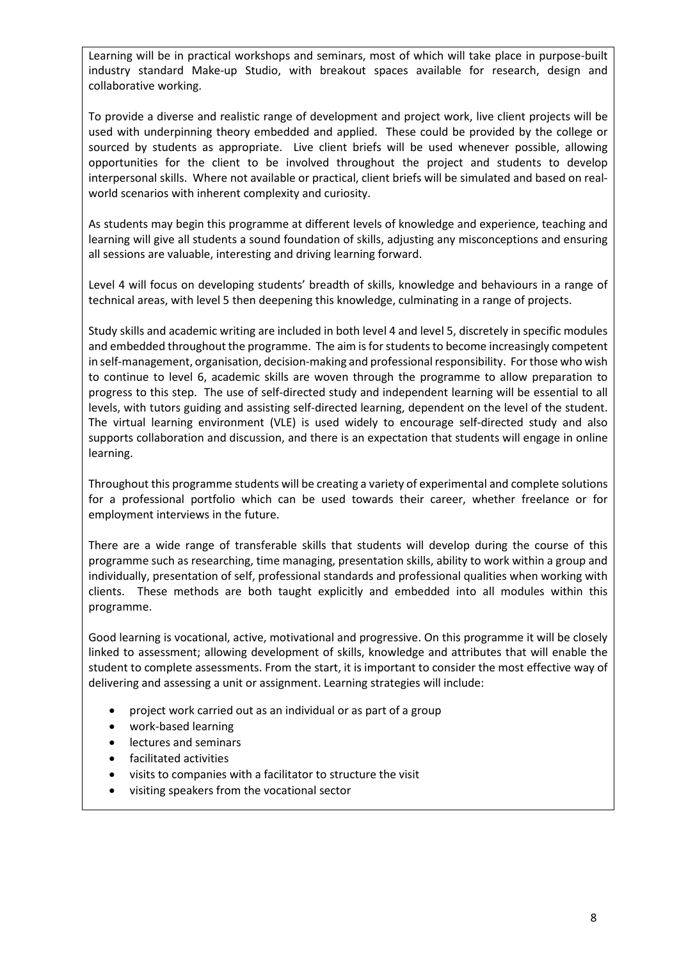Learning will be in practical workshops and seminars, most of which will take place in purpose-built industry standard Make-up Studio, with breakout spaces available for research, design and collaborative working.

To provide a diverse and realistic range of development and project work, live client projects will be used with underpinning theory embedded and applied. These could be provided by the college or sourced by students as appropriate. Live client briefs will be used whenever possible, allowing opportunities for the client to be involved throughout the project and students to develop interpersonal skills. Where not available or practical, client briefs will be simulated and based on realworld scenarios with inherent complexity and curiosity.

As students may begin this programme at different levels of knowledge and experience, teaching and learning will give all students a sound foundation of skills, adjusting any misconceptions and ensuring all sessions are valuable, interesting and driving learning forward.

Level 4 will focus on developing students' breadth of skills, knowledge and behaviours in a range of technical areas, with level 5 then deepening this knowledge, culminating in a range of projects.

Study skills and academic writing are included in both level 4 and level 5, discretely in specific modules and embedded throughout the programme. The aim is for students to become increasingly competent in self-management, organisation, decision-making and professional responsibility. For those who wish to continue to level 6, academic skills are woven through the programme to allow preparation to progress to this step. The use of self-directed study and independent learning will be essential to all levels, with tutors guiding and assisting self-directed learning, dependent on the level of the student. The virtual learning environment (VLE) is used widely to encourage self-directed study and also supports collaboration and discussion, and there is an expectation that students will engage in online learning.

Throughout this programme students will be creating a variety of experimental and complete solutions for a professional portfolio which can be used towards their career, whether freelance or for employment interviews in the future.

There are a wide range of transferable skills that students will develop during the course of this programme such as researching, time managing, presentation skills, ability to work within a group and individually, presentation of self, professional standards and professional qualities when working with clients. These methods are both taught explicitly and embedded into all modules within this programme.

Good learning is vocational, active, motivational and progressive. On this programme it will be closely linked to assessment; allowing development of skills, knowledge and attributes that will enable the student to complete assessments. From the start, it is important to consider the most effective way of delivering and assessing a unit or assignment. Learning strategies will include:

- project work carried out as an individual or as part of a group
- work-based learning
- lectures and seminars
- facilitated activities
- visits to companies with a facilitator to structure the visit
- visiting speakers from the vocational sector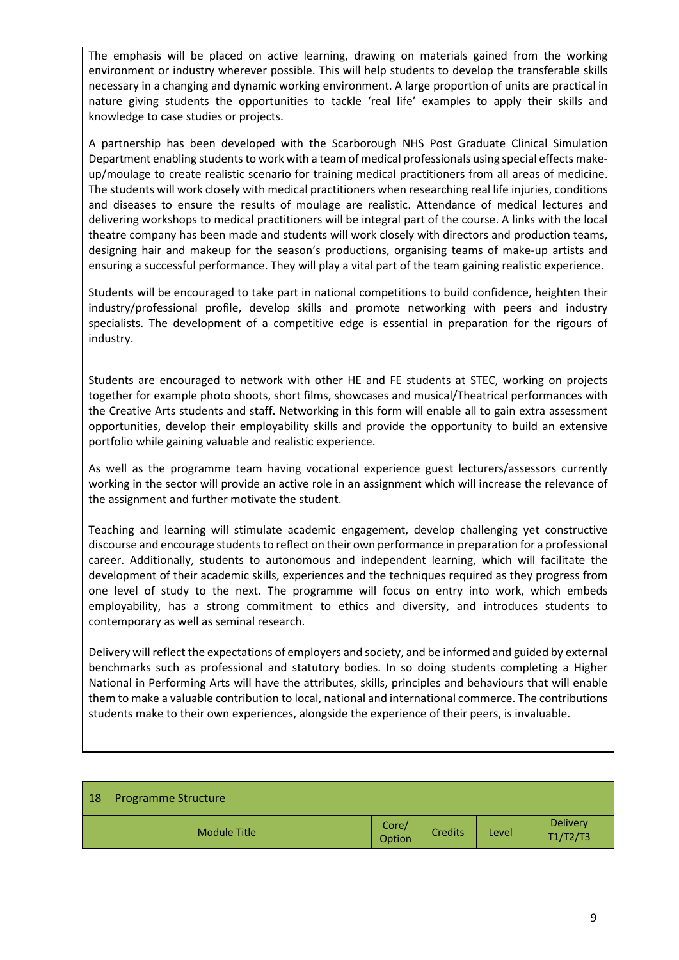The emphasis will be placed on active learning, drawing on materials gained from the working environment or industry wherever possible. This will help students to develop the transferable skills necessary in a changing and dynamic working environment. A large proportion of units are practical in nature giving students the opportunities to tackle 'real life' examples to apply their skills and knowledge to case studies or projects.

A partnership has been developed with the Scarborough NHS Post Graduate Clinical Simulation Department enabling students to work with a team of medical professionals using special effects makeup/moulage to create realistic scenario for training medical practitioners from all areas of medicine. The students will work closely with medical practitioners when researching real life injuries, conditions and diseases to ensure the results of moulage are realistic. Attendance of medical lectures and delivering workshops to medical practitioners will be integral part of the course. A links with the local theatre company has been made and students will work closely with directors and production teams, designing hair and makeup for the season's productions, organising teams of make-up artists and ensuring a successful performance. They will play a vital part of the team gaining realistic experience.

Students will be encouraged to take part in national competitions to build confidence, heighten their industry/professional profile, develop skills and promote networking with peers and industry specialists. The development of a competitive edge is essential in preparation for the rigours of industry.

Students are encouraged to network with other HE and FE students at STEC, working on projects together for example photo shoots, short films, showcases and musical/Theatrical performances with the Creative Arts students and staff. Networking in this form will enable all to gain extra assessment opportunities, develop their employability skills and provide the opportunity to build an extensive portfolio while gaining valuable and realistic experience.

As well as the programme team having vocational experience guest lecturers/assessors currently working in the sector will provide an active role in an assignment which will increase the relevance of the assignment and further motivate the student.

Teaching and learning will stimulate academic engagement, develop challenging yet constructive discourse and encourage students to reflect on their own performance in preparation for a professional career. Additionally, students to autonomous and independent learning, which will facilitate the development of their academic skills, experiences and the techniques required as they progress from one level of study to the next. The programme will focus on entry into work, which embeds employability, has a strong commitment to ethics and diversity, and introduces students to contemporary as well as seminal research.

Delivery will reflect the expectations of employers and society, and be informed and guided by external benchmarks such as professional and statutory bodies. In so doing students completing a Higher National in Performing Arts will have the attributes, skills, principles and behaviours that will enable them to make a valuable contribution to local, national and international commerce. The contributions students make to their own experiences, alongside the experience of their peers, is invaluable.

| 18 | <b>Programme Structure</b> |                 |                |              |                             |
|----|----------------------------|-----------------|----------------|--------------|-----------------------------|
|    | <b>Module Title</b>        | Core/<br>Option | <b>Credits</b> | <b>Level</b> | <b>Delivery</b><br>T1/T2/T3 |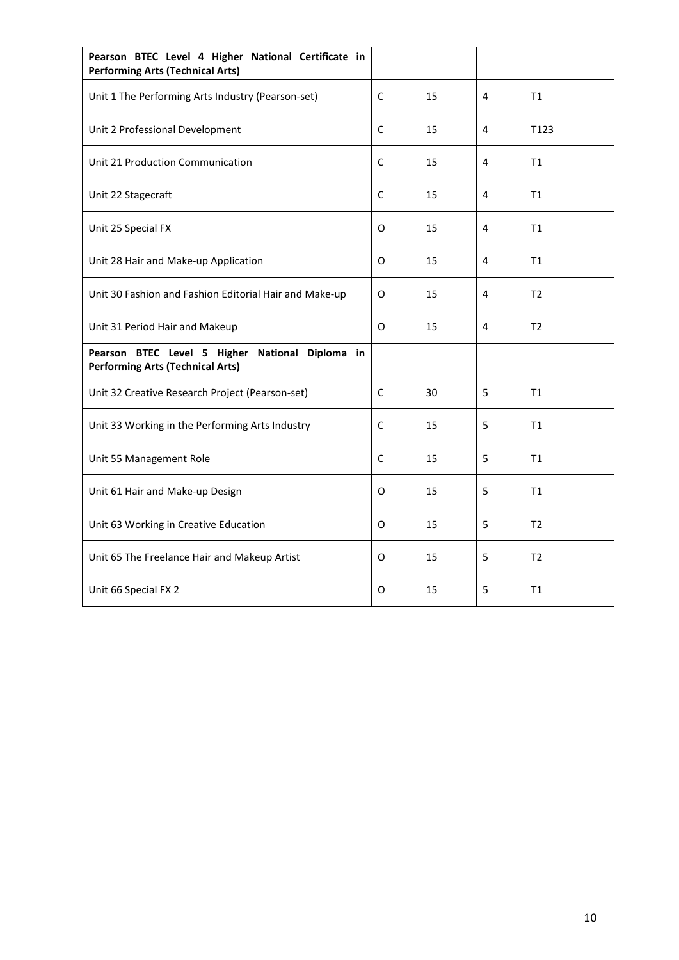| Pearson BTEC Level 4 Higher National Certificate in<br><b>Performing Arts (Technical Arts)</b> |              |    |   |                  |  |  |
|------------------------------------------------------------------------------------------------|--------------|----|---|------------------|--|--|
| Unit 1 The Performing Arts Industry (Pearson-set)                                              | C            | 15 | 4 | T1               |  |  |
| Unit 2 Professional Development                                                                | C            | 15 | 4 | T <sub>123</sub> |  |  |
| Unit 21 Production Communication                                                               | $\mathsf{C}$ | 15 | 4 | T1               |  |  |
| Unit 22 Stagecraft                                                                             | C            | 15 | 4 | T1               |  |  |
| Unit 25 Special FX                                                                             | 0            | 15 | 4 | T1               |  |  |
| Unit 28 Hair and Make-up Application                                                           | O            | 15 | 4 | T1               |  |  |
| Unit 30 Fashion and Fashion Editorial Hair and Make-up                                         | 0            | 15 | 4 | T <sub>2</sub>   |  |  |
| Unit 31 Period Hair and Makeup                                                                 | O            | 15 | 4 | T <sub>2</sub>   |  |  |
| Pearson BTEC Level 5 Higher National Diploma in<br><b>Performing Arts (Technical Arts)</b>     |              |    |   |                  |  |  |
| Unit 32 Creative Research Project (Pearson-set)                                                | C            | 30 | 5 | T1               |  |  |
| Unit 33 Working in the Performing Arts Industry                                                | C            | 15 | 5 | T1               |  |  |
| Unit 55 Management Role                                                                        | C            | 15 | 5 | T1               |  |  |
| Unit 61 Hair and Make-up Design                                                                | 0            | 15 | 5 | T1               |  |  |
| Unit 63 Working in Creative Education                                                          | 0            | 15 | 5 | T <sub>2</sub>   |  |  |
| Unit 65 The Freelance Hair and Makeup Artist                                                   | O            | 15 | 5 | T <sub>2</sub>   |  |  |
| Unit 66 Special FX 2                                                                           | 0            | 15 | 5 | T1               |  |  |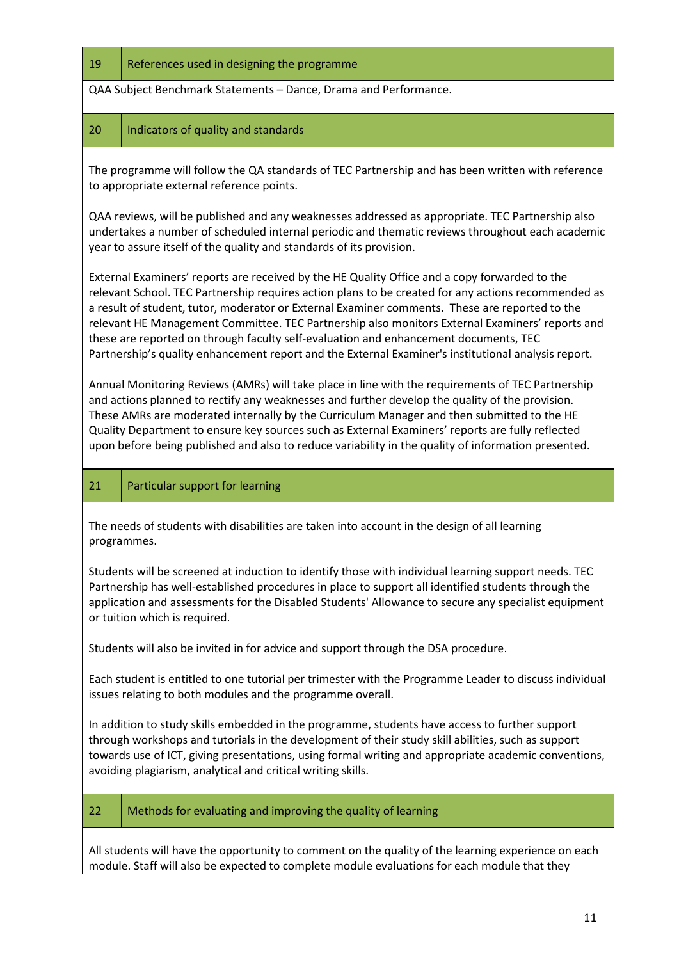#### 19 References used in designing the programme

QAA Subject Benchmark Statements – Dance, Drama and Performance.

#### 20 | Indicators of quality and standards

The programme will follow the QA standards of TEC Partnership and has been written with reference to appropriate external reference points.

QAA reviews, will be published and any weaknesses addressed as appropriate. TEC Partnership also undertakes a number of scheduled internal periodic and thematic reviews throughout each academic year to assure itself of the quality and standards of its provision.

External Examiners' reports are received by the HE Quality Office and a copy forwarded to the relevant School. TEC Partnership requires action plans to be created for any actions recommended as a result of student, tutor, moderator or External Examiner comments. These are reported to the relevant HE Management Committee. TEC Partnership also monitors External Examiners' reports and these are reported on through faculty self-evaluation and enhancement documents, TEC Partnership's quality enhancement report and the External Examiner's institutional analysis report.

Annual Monitoring Reviews (AMRs) will take place in line with the requirements of TEC Partnership and actions planned to rectify any weaknesses and further develop the quality of the provision. These AMRs are moderated internally by the Curriculum Manager and then submitted to the HE Quality Department to ensure key sources such as External Examiners' reports are fully reflected upon before being published and also to reduce variability in the quality of information presented.

### 21 | Particular support for learning

The needs of students with disabilities are taken into account in the design of all learning programmes.

Students will be screened at induction to identify those with individual learning support needs. TEC Partnership has well-established procedures in place to support all identified students through the application and assessments for the Disabled Students' Allowance to secure any specialist equipment or tuition which is required.

Students will also be invited in for advice and support through the DSA procedure.

Each student is entitled to one tutorial per trimester with the Programme Leader to discuss individual issues relating to both modules and the programme overall.

In addition to study skills embedded in the programme, students have access to further support through workshops and tutorials in the development of their study skill abilities, such as support towards use of ICT, giving presentations, using formal writing and appropriate academic conventions, avoiding plagiarism, analytical and critical writing skills.

### 22  $\parallel$  Methods for evaluating and improving the quality of learning

All students will have the opportunity to comment on the quality of the learning experience on each module. Staff will also be expected to complete module evaluations for each module that they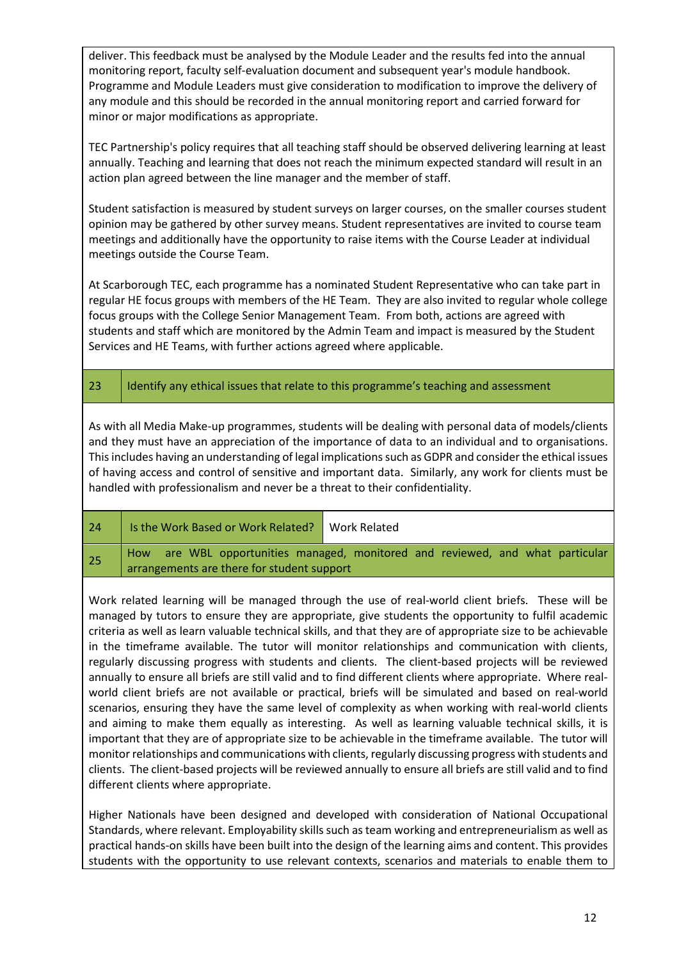deliver. This feedback must be analysed by the Module Leader and the results fed into the annual monitoring report, faculty self-evaluation document and subsequent year's module handbook. Programme and Module Leaders must give consideration to modification to improve the delivery of any module and this should be recorded in the annual monitoring report and carried forward for minor or major modifications as appropriate.

TEC Partnership's policy requires that all teaching staff should be observed delivering learning at least annually. Teaching and learning that does not reach the minimum expected standard will result in an action plan agreed between the line manager and the member of staff.

Student satisfaction is measured by student surveys on larger courses, on the smaller courses student opinion may be gathered by other survey means. Student representatives are invited to course team meetings and additionally have the opportunity to raise items with the Course Leader at individual meetings outside the Course Team.

At Scarborough TEC, each programme has a nominated Student Representative who can take part in regular HE focus groups with members of the HE Team. They are also invited to regular whole college focus groups with the College Senior Management Team. From both, actions are agreed with students and staff which are monitored by the Admin Team and impact is measured by the Student Services and HE Teams, with further actions agreed where applicable.

23 | Identify any ethical issues that relate to this programme's teaching and assessment

As with all Media Make-up programmes, students will be dealing with personal data of models/clients and they must have an appreciation of the importance of data to an individual and to organisations. This includes having an understanding of legal implications such as GDPR and consider the ethical issues of having access and control of sensitive and important data. Similarly, any work for clients must be handled with professionalism and never be a threat to their confidentiality.

24 | Is the Work Based or Work Related? | Work Related 25 | How are WBL opportunities managed, monitored and reviewed, and what particular arrangements are there for student support

Work related learning will be managed through the use of real-world client briefs. These will be managed by tutors to ensure they are appropriate, give students the opportunity to fulfil academic criteria as well as learn valuable technical skills, and that they are of appropriate size to be achievable in the timeframe available. The tutor will monitor relationships and communication with clients, regularly discussing progress with students and clients. The client-based projects will be reviewed annually to ensure all briefs are still valid and to find different clients where appropriate. Where realworld client briefs are not available or practical, briefs will be simulated and based on real-world scenarios, ensuring they have the same level of complexity as when working with real-world clients and aiming to make them equally as interesting. As well as learning valuable technical skills, it is important that they are of appropriate size to be achievable in the timeframe available. The tutor will monitorrelationships and communications with clients, regularly discussing progress with students and clients. The client-based projects will be reviewed annually to ensure all briefs are still valid and to find different clients where appropriate.

Higher Nationals have been designed and developed with consideration of National Occupational Standards, where relevant. Employability skills such as team working and entrepreneurialism as well as practical hands-on skills have been built into the design of the learning aims and content. This provides students with the opportunity to use relevant contexts, scenarios and materials to enable them to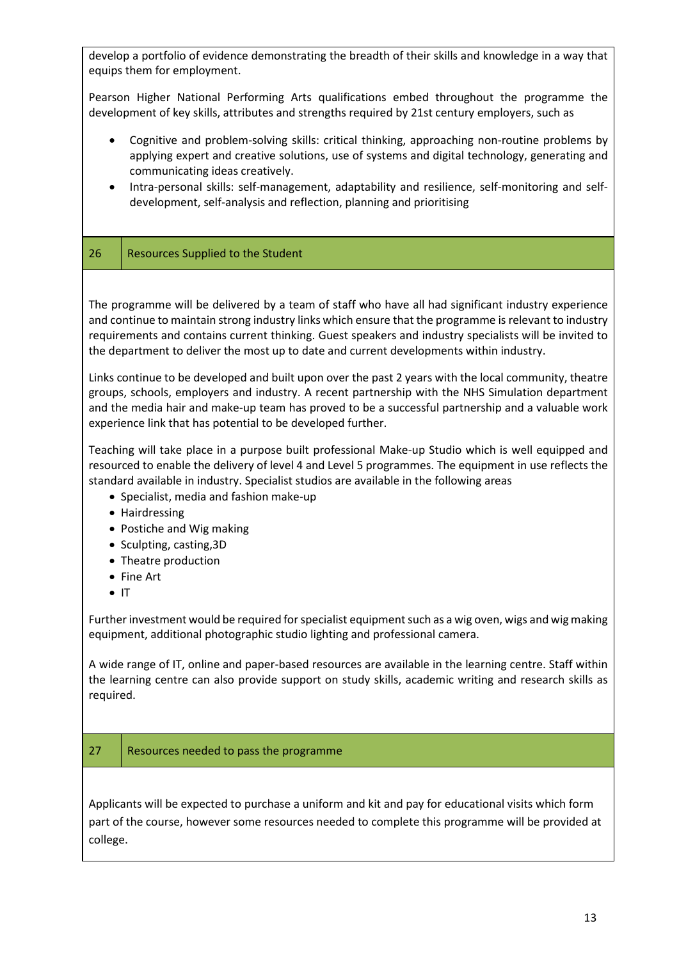develop a portfolio of evidence demonstrating the breadth of their skills and knowledge in a way that equips them for employment.

Pearson Higher National Performing Arts qualifications embed throughout the programme the development of key skills, attributes and strengths required by 21st century employers, such as

- Cognitive and problem-solving skills: critical thinking, approaching non-routine problems by applying expert and creative solutions, use of systems and digital technology, generating and communicating ideas creatively.
- Intra-personal skills: self-management, adaptability and resilience, self-monitoring and selfdevelopment, self-analysis and reflection, planning and prioritising

## 26 | Resources Supplied to the Student

The programme will be delivered by a team of staff who have all had significant industry experience and continue to maintain strong industry links which ensure that the programme is relevant to industry requirements and contains current thinking. Guest speakers and industry specialists will be invited to the department to deliver the most up to date and current developments within industry.

Links continue to be developed and built upon over the past 2 years with the local community, theatre groups, schools, employers and industry. A recent partnership with the NHS Simulation department and the media hair and make-up team has proved to be a successful partnership and a valuable work experience link that has potential to be developed further.

Teaching will take place in a purpose built professional Make-up Studio which is well equipped and resourced to enable the delivery of level 4 and Level 5 programmes. The equipment in use reflects the standard available in industry. Specialist studios are available in the following areas

- Specialist, media and fashion make-up
- Hairdressing
- Postiche and Wig making
- Sculpting, casting,3D
- Theatre production
- Fine Art
- IT

Further investment would be required for specialist equipment such as a wig oven, wigs and wig making equipment, additional photographic studio lighting and professional camera.

A wide range of IT, online and paper-based resources are available in the learning centre. Staff within the learning centre can also provide support on study skills, academic writing and research skills as required.

### 27 Resources needed to pass the programme

Applicants will be expected to purchase a uniform and kit and pay for educational visits which form part of the course, however some resources needed to complete this programme will be provided at college.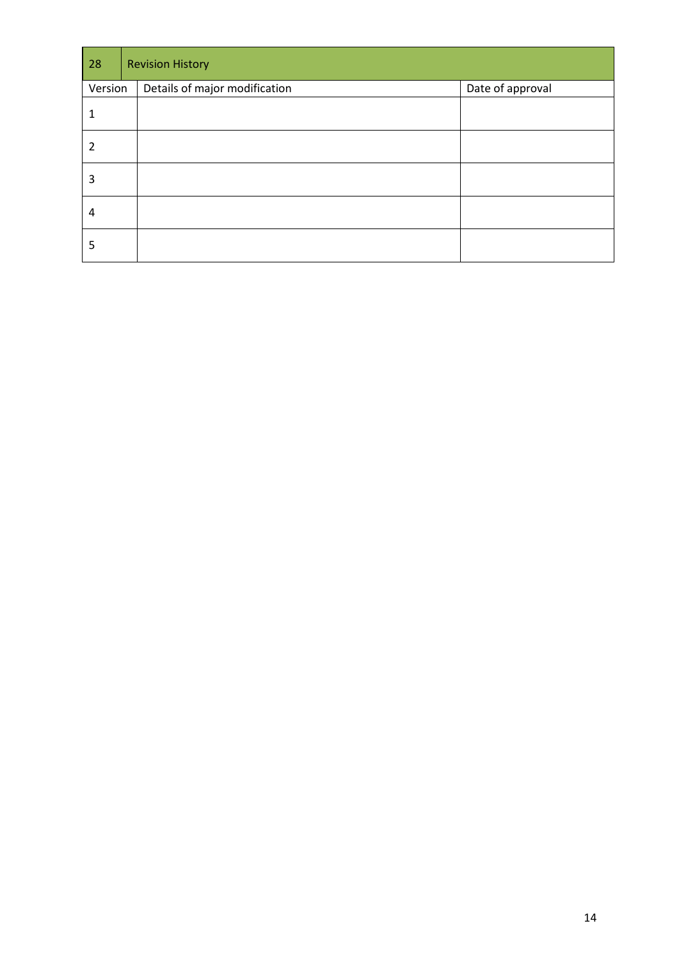| 28      | <b>Revision History</b>       |                  |  |  |  |  |  |  |  |  |  |
|---------|-------------------------------|------------------|--|--|--|--|--|--|--|--|--|
| Version | Details of major modification | Date of approval |  |  |  |  |  |  |  |  |  |
| 1       |                               |                  |  |  |  |  |  |  |  |  |  |
| 2       |                               |                  |  |  |  |  |  |  |  |  |  |
| 3       |                               |                  |  |  |  |  |  |  |  |  |  |
| 4       |                               |                  |  |  |  |  |  |  |  |  |  |
| 5       |                               |                  |  |  |  |  |  |  |  |  |  |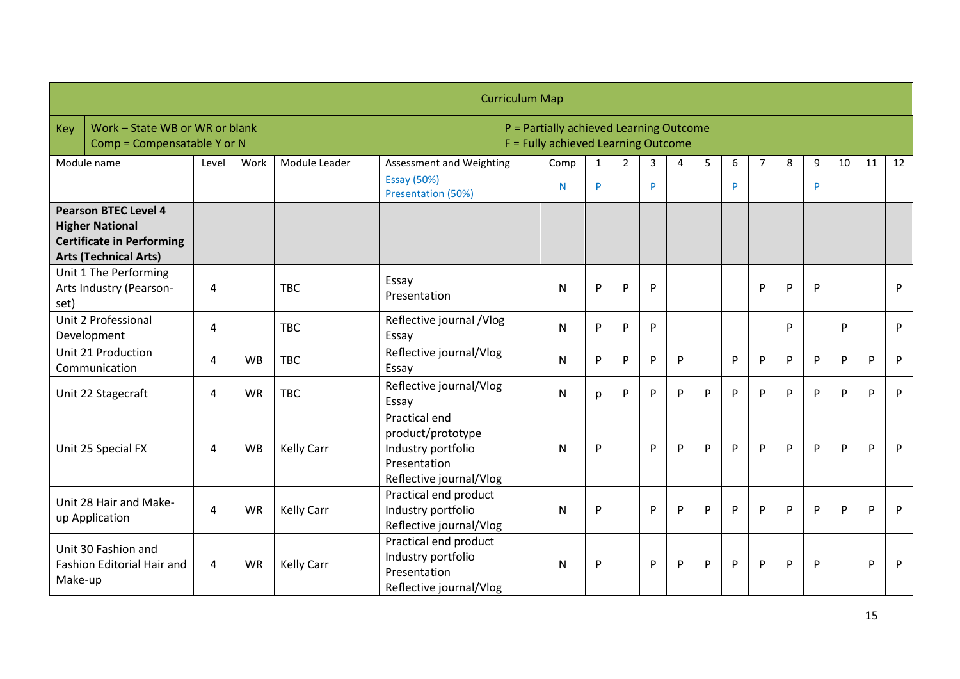|                                                                                                                           | <b>Curriculum Map</b>                                         |                |           |                   |                                                                                                     |      |              |                |                |   |   |              |   |              |   |    |    |    |
|---------------------------------------------------------------------------------------------------------------------------|---------------------------------------------------------------|----------------|-----------|-------------------|-----------------------------------------------------------------------------------------------------|------|--------------|----------------|----------------|---|---|--------------|---|--------------|---|----|----|----|
| Key                                                                                                                       | Work - State WB or WR or blank<br>Comp = Compensatable Y or N |                |           |                   | P = Partially achieved Learning Outcome<br>F = Fully achieved Learning Outcome                      |      |              |                |                |   |   |              |   |              |   |    |    |    |
|                                                                                                                           | Module name                                                   | Level          | Work      | Module Leader     | Assessment and Weighting                                                                            | Comp | $\mathbf{1}$ | $\overline{2}$ | $\overline{3}$ | 4 | 5 | 6            | 7 | 8            | 9 | 10 | 11 | 12 |
|                                                                                                                           |                                                               |                |           |                   | <b>Essay (50%)</b><br>Presentation (50%)                                                            | N    | Þ            |                | P              |   |   | <b>P</b>     |   |              | P |    |    |    |
| <b>Pearson BTEC Level 4</b><br><b>Higher National</b><br><b>Certificate in Performing</b><br><b>Arts (Technical Arts)</b> |                                                               |                |           |                   |                                                                                                     |      |              |                |                |   |   |              |   |              |   |    |    |    |
| Unit 1 The Performing<br>Arts Industry (Pearson-<br>set)                                                                  |                                                               | 4              |           | <b>TBC</b>        | Essay<br>Presentation                                                                               | N    | P            | P              | P              |   |   |              | P | P            | P |    |    | P  |
| Unit 2 Professional<br>Development                                                                                        |                                                               | 4              |           | <b>TBC</b>        | Reflective journal /Vlog<br>Essay                                                                   | N    | P            | P              | P              |   |   |              |   | <b>D</b>     |   | D  |    | P  |
|                                                                                                                           | Unit 21 Production<br>Communication                           | 4              | <b>WB</b> | <b>TBC</b>        | Reflective journal/Vlog<br>Essay                                                                    | N    | P            | P              | P              | P |   | P            | P | P            | P | P  | P  | P  |
|                                                                                                                           | Unit 22 Stagecraft                                            | 4              | <b>WR</b> | <b>TBC</b>        | Reflective journal/Vlog<br>Essay                                                                    | N    | p            | P              | P              | P | P | P            | P | P            | P | P  | P  | P  |
|                                                                                                                           | Unit 25 Special FX                                            | $\overline{4}$ | <b>WB</b> | <b>Kelly Carr</b> | Practical end<br>product/prototype<br>Industry portfolio<br>Presentation<br>Reflective journal/Vlog | N    | P            |                | P              | P | P | $\mathsf{P}$ | P | $\mathsf{P}$ | P | P  | P  | P  |
|                                                                                                                           | Unit 28 Hair and Make-<br>up Application                      | 4              | <b>WR</b> | <b>Kelly Carr</b> | Practical end product<br>Industry portfolio<br>Reflective journal/Vlog                              | N    | P            |                | P              | P | P | P            | P | P            | P | P  | P  | P  |
| Make-up                                                                                                                   | Unit 30 Fashion and<br>Fashion Editorial Hair and             | 4              | <b>WR</b> | <b>Kelly Carr</b> | Practical end product<br>Industry portfolio<br>Presentation<br>Reflective journal/Vlog              | N    | P            |                | P              | P | P | P            | P | P            | P |    | P  | P  |